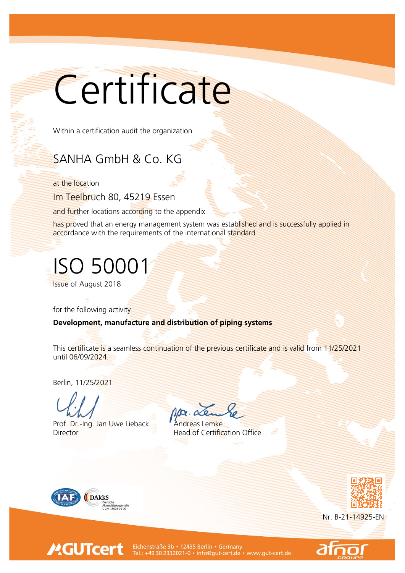## Certificate

Within a certification audit the organization

## SANHA GmbH & Co. KG

at the location

Im Teelbruch 80, 45219 Essen

and further locations according to the appendix

has proved that an energy management system was established and is successfully applied in accordance with the requirements of the international standard

## ISO 50001

Issue of August 2018

for the following activity

Development, manufacture and distribution of piping systems

This certificate is a seamless continuation of the previous certificate and is valid from 11/25/2021 until 06/09/2024.

Berlin, 11/25/2021

Prof. Dr.-Ing. Jan Uwe Lieback Andreas Lemke **Director Head of Certification Office** 



**MGUTcert** 





Eichenstraße 3b • 12435 Berlin • Germany<br>Tel.: +49 30 2332021-0 • info@gut-cert.de • www.gut-cert.de